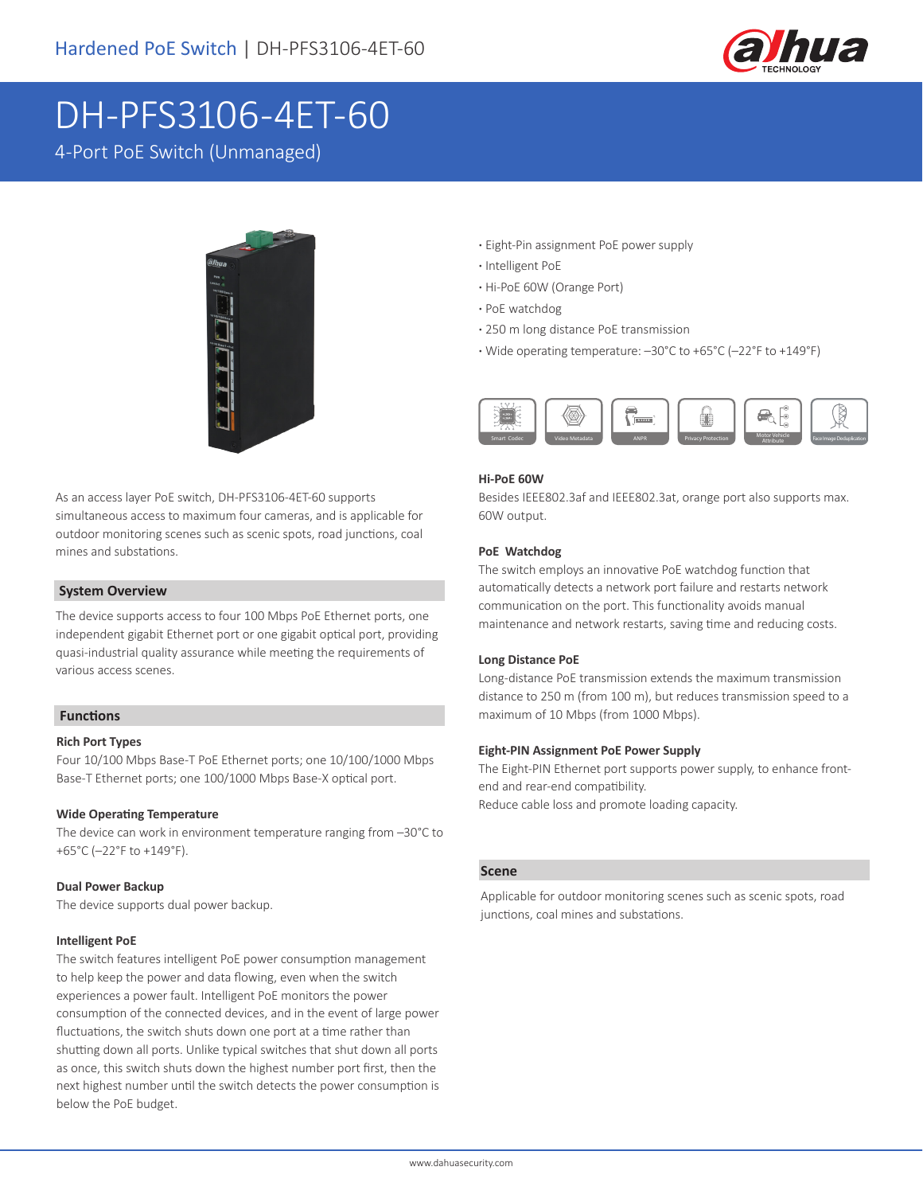

# DH-PFS3106-4ET-60

4-Port PoE Switch (Unmanaged)



As an access layer PoE switch, DH-PFS3106-4ET-60 supports simultaneous access to maximum four cameras, and is applicable for outdoor monitoring scenes such as scenic spots, road junctions, coal mines and substations.

#### **System Overview**

The device supports access to four 100 Mbps PoE Ethernet ports, one independent gigabit Ethernet port or one gigabit optical port, providing quasi-industrial quality assurance while meeting the requirements of various access scenes.

### **Functions**

#### **Rich Port Types**

Four 10/100 Mbps Base-T PoE Ethernet ports; one 10/100/1000 Mbps Base-T Ethernet ports; one 100/1000 Mbps Base-X optical port.

#### **Wide Operating Temperature**

The device can work in environment temperature ranging from –30°C to +65°C (–22°F to +149°F).

#### **Dual Power Backup**

The device supports dual power backup.

#### **Intelligent PoE**

The switch features intelligent PoE power consumption management to help keep the power and data flowing, even when the switch experiences a power fault. Intelligent PoE monitors the power consumption of the connected devices, and in the event of large power fluctuations, the switch shuts down one port at a time rather than shutting down all ports. Unlike typical switches that shut down all ports as once, this switch shuts down the highest number port first, then the next highest number until the switch detects the power consumption is below the PoE budget.

- **·** Eight-Pin assignment PoE power supply
- **·** Intelligent PoE
- **·** Hi-PoE 60W (Orange Port)
- **·** PoE watchdog
- **·** 250 m long distance PoE transmission
- **·** Wide operating temperature: –30°C to +65°C (–22°F to +149°F)



#### **Hi-PoE 60W**

Besides IEEE802.3af and IEEE802.3at, orange port also supports max. 60W output.

#### **PoE Watchdog**

The switch employs an innovative PoE watchdog function that automatically detects a network port failure and restarts network communication on the port. This functionality avoids manual maintenance and network restarts, saving time and reducing costs.

#### **Long Distance PoE**

Long-distance PoE transmission extends the maximum transmission distance to 250 m (from 100 m), but reduces transmission speed to a maximum of 10 Mbps (from 1000 Mbps).

#### **Eight-PIN Assignment PoE Power Supply**

The Eight-PIN Ethernet port supports power supply, to enhance frontend and rear-end compatibility. Reduce cable loss and promote loading capacity.

#### **Scene**

Applicable for outdoor monitoring scenes such as scenic spots, road junctions, coal mines and substations.